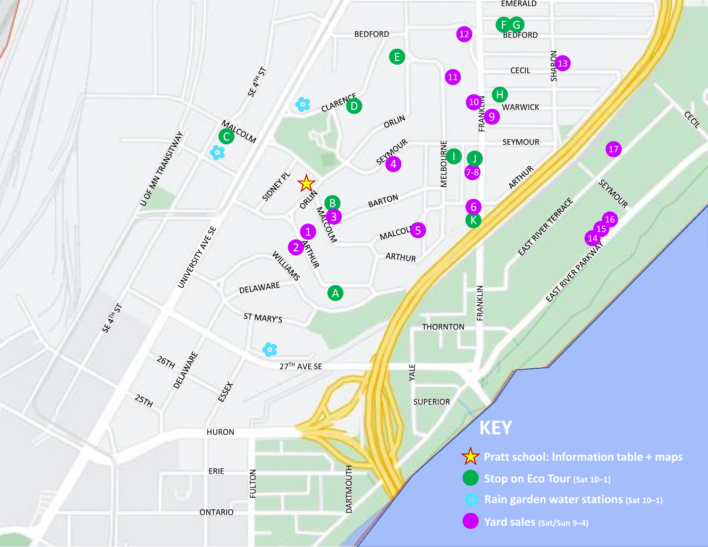